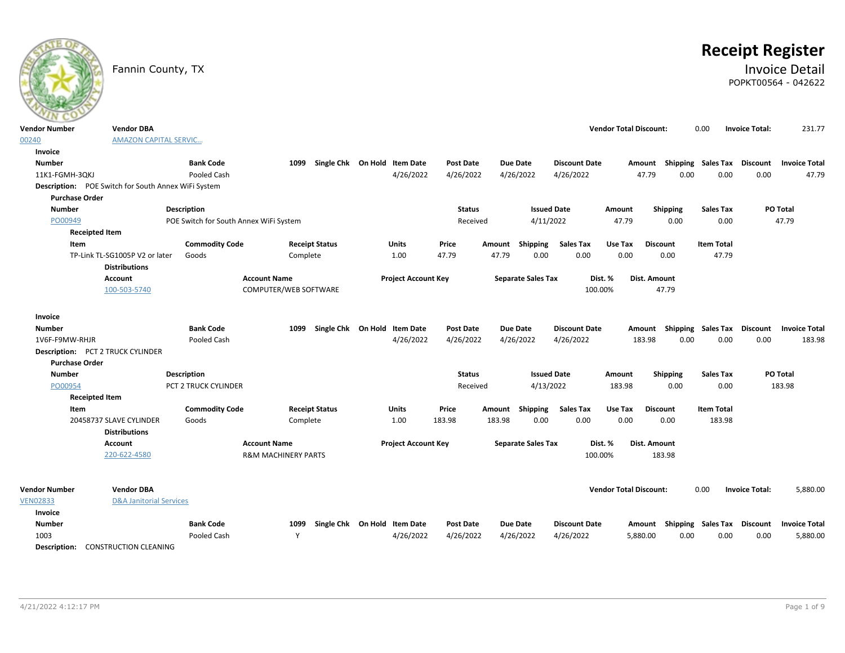|                                                    | Fannin County, TX                                       |                                        |                                |                              |                            |                        |        |                              |                                   |                               |                                    |                            |                       | <b>Receipt Register</b><br><b>Invoice Detail</b><br>POPKT00564 - 042622 |
|----------------------------------------------------|---------------------------------------------------------|----------------------------------------|--------------------------------|------------------------------|----------------------------|------------------------|--------|------------------------------|-----------------------------------|-------------------------------|------------------------------------|----------------------------|-----------------------|-------------------------------------------------------------------------|
| <b>Vendor Number</b>                               | <b>Vendor DBA</b>                                       |                                        |                                |                              |                            |                        |        |                              |                                   | <b>Vendor Total Discount:</b> |                                    | 0.00                       | <b>Invoice Total:</b> | 231.77                                                                  |
| 00240                                              | <b>AMAZON CAPITAL SERVIC</b>                            |                                        |                                |                              |                            |                        |        |                              |                                   |                               |                                    |                            |                       |                                                                         |
| Invoice                                            |                                                         |                                        |                                |                              |                            |                        |        |                              |                                   |                               |                                    |                            |                       |                                                                         |
| <b>Number</b>                                      |                                                         | <b>Bank Code</b>                       | 1099                           | Single Chk On Hold Item Date |                            | Post Date              |        | <b>Due Date</b>              | <b>Discount Date</b>              |                               | Amount Shipping Sales Tax          |                            | Discount              | <b>Invoice Total</b>                                                    |
| 11K1-FGMH-3QKJ                                     |                                                         | <b>Pooled Cash</b>                     |                                |                              | 4/26/2022                  | 4/26/2022              |        | 4/26/2022                    | 4/26/2022                         |                               | 47.79<br>0.00                      | 0.00                       | 0.00                  | 47.79                                                                   |
|                                                    | Description: POE Switch for South Annex WiFi System     |                                        |                                |                              |                            |                        |        |                              |                                   |                               |                                    |                            |                       |                                                                         |
| <b>Purchase Order</b>                              |                                                         |                                        |                                |                              |                            |                        |        |                              |                                   |                               |                                    |                            |                       |                                                                         |
| <b>Number</b>                                      |                                                         | <b>Description</b>                     |                                |                              |                            | <b>Status</b>          |        | <b>Issued Date</b>           |                                   | Amount                        | <b>Shipping</b>                    | <b>Sales Tax</b>           |                       | <b>PO Total</b>                                                         |
| PO00949                                            |                                                         | POE Switch for South Annex WiFi System |                                |                              |                            | Received               |        | 4/11/2022                    |                                   | 47.79                         | 0.00                               | 0.00                       |                       | 47.79                                                                   |
| <b>Receipted Item</b>                              |                                                         |                                        |                                |                              |                            |                        |        |                              |                                   |                               |                                    |                            |                       |                                                                         |
| Item                                               |                                                         | <b>Commodity Code</b>                  |                                | <b>Receipt Status</b>        | Units                      | Price                  | Amount | Shipping                     | <b>Sales Tax</b>                  | Use Tax                       | <b>Discount</b>                    | <b>Item Total</b>          |                       |                                                                         |
|                                                    | TP-Link TL-SG1005P V2 or later<br><b>Distributions</b>  | Goods                                  | Complete                       |                              | 1.00                       | 47.79                  | 47.79  | 0.00                         | 0.00                              | 0.00                          | 0.00                               | 47.79                      |                       |                                                                         |
|                                                    | Account                                                 |                                        | <b>Account Name</b>            |                              | <b>Project Account Key</b> |                        |        | <b>Separate Sales Tax</b>    |                                   | Dist. %                       | <b>Dist. Amount</b>                |                            |                       |                                                                         |
|                                                    | 100-503-5740                                            |                                        | COMPUTER/WEB SOFTWARE          |                              |                            |                        |        |                              | 100.00%                           |                               | 47.79                              |                            |                       |                                                                         |
| Invoice<br><b>Number</b><br>1V6F-F9MW-RHJR         |                                                         | <b>Bank Code</b><br>Pooled Cash        | 1099                           | Single Chk On Hold Item Date | 4/26/2022                  | Post Date<br>4/26/2022 |        | <b>Due Date</b><br>4/26/2022 | <b>Discount Date</b><br>4/26/2022 | Amount<br>183.98              | 0.00                               | Shipping Sales Tax<br>0.00 | Discount<br>0.00      | <b>Invoice Total</b><br>183.98                                          |
|                                                    | Description: PCT 2 TRUCK CYLINDER                       |                                        |                                |                              |                            |                        |        |                              |                                   |                               |                                    |                            |                       |                                                                         |
| <b>Purchase Order</b>                              |                                                         |                                        |                                |                              |                            |                        |        |                              |                                   |                               |                                    |                            |                       |                                                                         |
| <b>Number</b>                                      |                                                         | <b>Description</b>                     |                                |                              |                            | <b>Status</b>          |        | <b>Issued Date</b>           |                                   | Amount                        | <b>Shipping</b>                    | <b>Sales Tax</b>           |                       | <b>PO Total</b>                                                         |
| PO00954                                            |                                                         | PCT 2 TRUCK CYLINDER                   |                                |                              |                            | Received               |        | 4/13/2022                    |                                   | 183.98                        | 0.00                               | 0.00                       |                       | 183.98                                                                  |
| <b>Receipted Item</b>                              |                                                         |                                        |                                |                              |                            |                        |        |                              |                                   |                               |                                    |                            |                       |                                                                         |
| Item                                               |                                                         | <b>Commodity Code</b>                  |                                | <b>Receipt Status</b>        | <b>Units</b>               | Price                  | Amount | Shipping                     | <b>Sales Tax</b>                  | Use Tax                       | <b>Discount</b>                    | <b>Item Total</b>          |                       |                                                                         |
|                                                    | 20458737 SLAVE CYLINDER                                 | Goods                                  | Complete                       |                              | 1.00                       | 183.98                 | 183.98 | 0.00                         | 0.00                              | 0.00                          | 0.00                               | 183.98                     |                       |                                                                         |
|                                                    | <b>Distributions</b>                                    |                                        |                                |                              |                            |                        |        |                              |                                   |                               |                                    |                            |                       |                                                                         |
|                                                    | Account                                                 |                                        | <b>Account Name</b>            |                              | <b>Project Account Key</b> |                        |        | <b>Separate Sales Tax</b>    |                                   | Dist. %                       | Dist. Amount                       |                            |                       |                                                                         |
|                                                    | 220-622-4580                                            |                                        | <b>R&amp;M MACHINERY PARTS</b> |                              |                            |                        |        |                              | 100.00%                           |                               | 183.98                             |                            |                       |                                                                         |
| <b>Vendor Number</b><br><b>VEN02833</b><br>Invoice | <b>Vendor DBA</b><br><b>D&amp;A Janitorial Services</b> |                                        |                                |                              |                            |                        |        |                              |                                   | <b>Vendor Total Discount:</b> |                                    | 0.00                       | <b>Invoice Total:</b> | 5,880.00                                                                |
| <b>Number</b>                                      |                                                         | <b>Bank Code</b>                       | 1099                           | Single Chk On Hold Item Date |                            | Post Date              |        | <b>Due Date</b>              | <b>Discount Date</b>              |                               | Amount Shipping Sales Tax Discount |                            |                       | <b>Invoice Total</b>                                                    |
| 1003                                               |                                                         | Pooled Cash                            | Y                              |                              | 4/26/2022                  | 4/26/2022              |        | 4/26/2022                    | 4/26/2022                         | 5,880.00                      | 0.00                               | 0.00                       | 0.00                  | 5,880.00                                                                |
| Description:                                       | <b>CONSTRUCTION CLEANING</b>                            |                                        |                                |                              |                            |                        |        |                              |                                   |                               |                                    |                            |                       |                                                                         |

**ATE OF**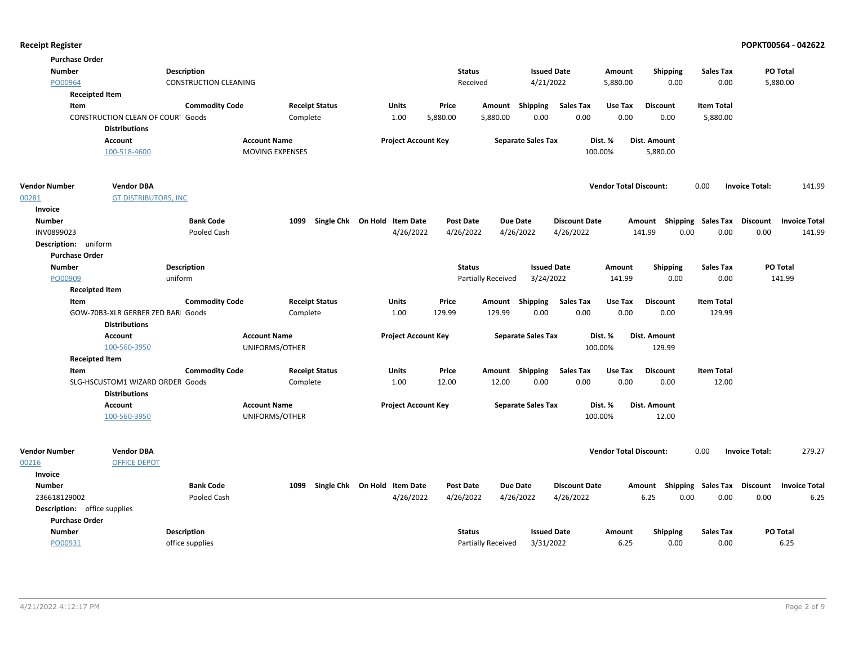| <b>Purchase Order</b> |                                          |                              |                        |                              |                            |                           |                      |                               |                 |                             |                                  |
|-----------------------|------------------------------------------|------------------------------|------------------------|------------------------------|----------------------------|---------------------------|----------------------|-------------------------------|-----------------|-----------------------------|----------------------------------|
| <b>Number</b>         |                                          | <b>Description</b>           |                        |                              | <b>Status</b>              |                           | <b>Issued Date</b>   | Amount                        | <b>Shipping</b> | <b>Sales Tax</b>            | PO Total                         |
| PO00964               |                                          | <b>CONSTRUCTION CLEANING</b> |                        |                              | Received                   |                           | 4/21/2022            | 5,880.00                      | 0.00            | 0.00                        | 5,880.00                         |
|                       | <b>Receipted Item</b>                    |                              |                        |                              |                            |                           |                      |                               |                 |                             |                                  |
| Item                  |                                          | <b>Commodity Code</b>        | <b>Receipt Status</b>  | Units                        | Price                      | Amount Shipping           | <b>Sales Tax</b>     | Use Tax                       | <b>Discount</b> | <b>Item Total</b>           |                                  |
|                       | <b>CONSTRUCTION CLEAN OF COURT Goods</b> |                              | Complete               | 1.00                         | 5,880.00                   | 5,880.00                  | 0.00<br>0.00         | 0.00                          | 0.00            | 5,880.00                    |                                  |
|                       | <b>Distributions</b>                     |                              |                        |                              |                            |                           |                      |                               |                 |                             |                                  |
|                       | <b>Account</b>                           |                              | <b>Account Name</b>    |                              | <b>Project Account Key</b> | <b>Separate Sales Tax</b> |                      | Dist. %                       | Dist. Amount    |                             |                                  |
|                       | 100-518-4600                             |                              | <b>MOVING EXPENSES</b> |                              |                            |                           |                      | 100.00%                       | 5,880.00        |                             |                                  |
|                       |                                          |                              |                        |                              |                            |                           |                      |                               |                 |                             |                                  |
| <b>Vendor Number</b>  | <b>Vendor DBA</b>                        |                              |                        |                              |                            |                           |                      | <b>Vendor Total Discount:</b> |                 | 0.00                        | <b>Invoice Total:</b><br>141.99  |
| 00281                 | <b>GT DISTRIBUTORS, INC</b>              |                              |                        |                              |                            |                           |                      |                               |                 |                             |                                  |
| Invoice               |                                          |                              |                        |                              |                            |                           |                      |                               |                 |                             |                                  |
| <b>Number</b>         |                                          | <b>Bank Code</b>             | 1099                   | Single Chk On Hold Item Date | <b>Post Date</b>           | <b>Due Date</b>           | <b>Discount Date</b> |                               | Amount          | Shipping Sales Tax          | Discount<br><b>Invoice Total</b> |
| INV0899023            |                                          | Pooled Cash                  |                        | 4/26/2022                    | 4/26/2022                  | 4/26/2022                 | 4/26/2022            |                               | 0.00<br>141.99  | 0.00                        | 0.00<br>141.99                   |
| Description: uniform  |                                          |                              |                        |                              |                            |                           |                      |                               |                 |                             |                                  |
| <b>Purchase Order</b> |                                          |                              |                        |                              |                            |                           |                      |                               |                 |                             |                                  |
| <b>Number</b>         |                                          | <b>Description</b>           |                        |                              | <b>Status</b>              |                           | <b>Issued Date</b>   | Amount                        | <b>Shipping</b> | <b>Sales Tax</b>            | PO Total                         |
| PO00909               |                                          | uniform                      |                        |                              |                            | <b>Partially Received</b> | 3/24/2022            | 141.99                        | 0.00            | 0.00                        | 141.99                           |
|                       | <b>Receipted Item</b>                    |                              |                        |                              |                            |                           |                      |                               |                 |                             |                                  |
| Item                  |                                          | <b>Commodity Code</b>        | <b>Receipt Status</b>  | <b>Units</b>                 | Price                      | Amount Shipping           | <b>Sales Tax</b>     | Use Tax                       | <b>Discount</b> | <b>Item Total</b>           |                                  |
|                       | GOW-70B3-XLR GERBER ZED BARI Goods       |                              | Complete               | 1.00                         | 129.99                     | 129.99                    | 0.00<br>0.00         | 0.00                          | 0.00            | 129.99                      |                                  |
|                       | <b>Distributions</b>                     |                              |                        |                              |                            |                           |                      |                               |                 |                             |                                  |
|                       | <b>Account</b>                           |                              | <b>Account Name</b>    |                              | <b>Project Account Key</b> | <b>Separate Sales Tax</b> |                      | Dist. %                       | Dist. Amount    |                             |                                  |
|                       | 100-560-3950                             |                              | UNIFORMS/OTHER         |                              |                            |                           |                      | 100.00%                       | 129.99          |                             |                                  |
|                       | <b>Receipted Item</b>                    |                              |                        |                              |                            |                           |                      |                               |                 |                             |                                  |
| Item                  |                                          | <b>Commodity Code</b>        | <b>Receipt Status</b>  | Units                        | Price                      | Amount Shipping           | <b>Sales Tax</b>     | Use Tax                       | <b>Discount</b> | <b>Item Total</b>           |                                  |
|                       | SLG-HSCUSTOM1 WIZARD ORDER Goods         |                              | Complete               | 1.00                         | 12.00                      | 12.00                     | 0.00<br>0.00         | 0.00                          | 0.00            | 12.00                       |                                  |
|                       | <b>Distributions</b>                     |                              |                        |                              |                            |                           |                      |                               |                 |                             |                                  |
|                       | <b>Account</b>                           |                              | <b>Account Name</b>    |                              | <b>Project Account Key</b> | <b>Separate Sales Tax</b> |                      | Dist. %                       | Dist. Amount    |                             |                                  |
|                       | 100-560-3950                             |                              | UNIFORMS/OTHER         |                              |                            |                           |                      | 100.00%                       | 12.00           |                             |                                  |
|                       |                                          |                              |                        |                              |                            |                           |                      |                               |                 |                             |                                  |
| <b>Vendor Number</b>  | <b>Vendor DBA</b>                        |                              |                        |                              |                            |                           |                      | <b>Vendor Total Discount:</b> |                 | 0.00                        | <b>Invoice Total:</b><br>279.27  |
| 00216                 | <b>OFFICE DEPOT</b>                      |                              |                        |                              |                            |                           |                      |                               |                 |                             |                                  |
| Invoice               |                                          |                              |                        |                              |                            |                           |                      |                               |                 |                             |                                  |
| <b>Number</b>         |                                          | <b>Bank Code</b>             | 1099                   | Single Chk On Hold Item Date | <b>Post Date</b>           | <b>Due Date</b>           | <b>Discount Date</b> |                               | Amount          | Shipping Sales Tax Discount | <b>Invoice Total</b>             |
| 236618129002          |                                          | Pooled Cash                  |                        | 4/26/2022                    | 4/26/2022                  | 4/26/2022                 | 4/26/2022            |                               | 6.25<br>0.00    | 0.00                        | 0.00<br>6.25                     |
|                       | <b>Description:</b> office supplies      |                              |                        |                              |                            |                           |                      |                               |                 |                             |                                  |
| <b>Purchase Order</b> |                                          |                              |                        |                              |                            |                           |                      |                               |                 |                             |                                  |
| <b>Number</b>         |                                          | Description                  |                        |                              | <b>Status</b>              |                           | <b>Issued Date</b>   | Amount                        | <b>Shipping</b> | <b>Sales Tax</b>            | PO Total                         |
| PO00931               |                                          | office supplies              |                        |                              |                            | Partially Received        | 3/31/2022            | 6.25                          | 0.00            | 0.00                        | 6.25                             |
|                       |                                          |                              |                        |                              |                            |                           |                      |                               |                 |                             |                                  |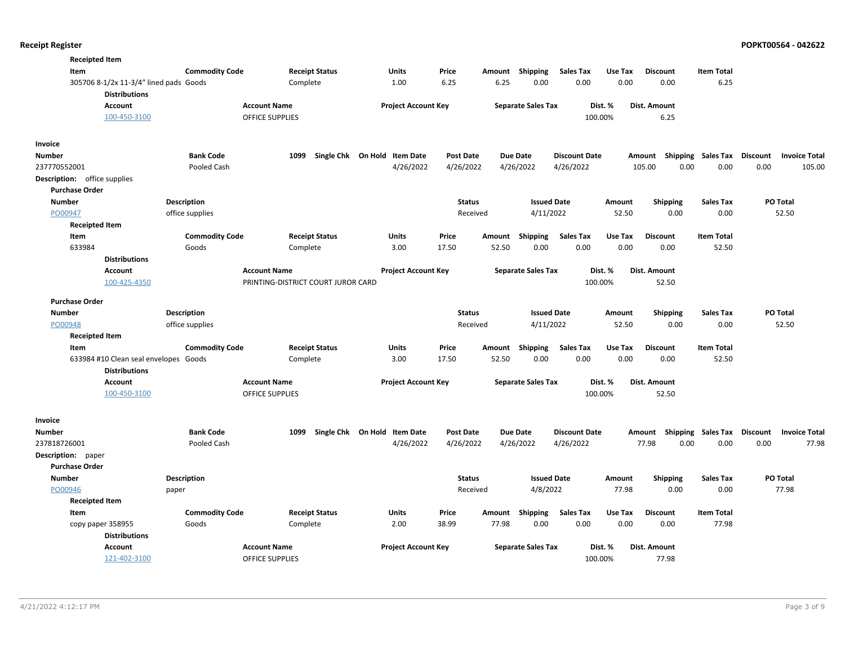|                    | <b>Receipted Item</b>                                          |                       |                                    |                              |                  |        |                           |                      |         |                           |                   |                                  |
|--------------------|----------------------------------------------------------------|-----------------------|------------------------------------|------------------------------|------------------|--------|---------------------------|----------------------|---------|---------------------------|-------------------|----------------------------------|
|                    | Item                                                           | <b>Commodity Code</b> | <b>Receipt Status</b>              | Units                        | Price            | Amount | <b>Shipping</b>           | <b>Sales Tax</b>     | Use Tax | <b>Discount</b>           | <b>Item Total</b> |                                  |
|                    | 305706 8-1/2x 11-3/4" lined pads Goods<br><b>Distributions</b> |                       | Complete                           | 1.00                         | 6.25             | 6.25   | 0.00                      | 0.00                 | 0.00    | 0.00                      | 6.25              |                                  |
|                    | <b>Account</b>                                                 |                       | <b>Account Name</b>                | <b>Project Account Key</b>   |                  |        | <b>Separate Sales Tax</b> |                      | Dist. % | Dist. Amount              |                   |                                  |
|                    | 100-450-3100                                                   |                       | OFFICE SUPPLIES                    |                              |                  |        |                           | 100.00%              |         | 6.25                      |                   |                                  |
| Invoice            |                                                                |                       |                                    |                              |                  |        |                           |                      |         |                           |                   |                                  |
| Number             |                                                                | <b>Bank Code</b>      | 1099                               | Single Chk On Hold Item Date | <b>Post Date</b> |        | <b>Due Date</b>           | <b>Discount Date</b> |         | Amount Shipping Sales Tax |                   | Discount<br><b>Invoice Total</b> |
| 237770552001       |                                                                | Pooled Cash           |                                    | 4/26/2022                    | 4/26/2022        |        | 4/26/2022                 | 4/26/2022            |         | 105.00<br>0.00            | 0.00              | 0.00<br>105.00                   |
|                    | Description: office supplies                                   |                       |                                    |                              |                  |        |                           |                      |         |                           |                   |                                  |
|                    | <b>Purchase Order</b>                                          |                       |                                    |                              |                  |        |                           |                      |         |                           |                   |                                  |
| <b>Number</b>      |                                                                | Description           |                                    |                              | <b>Status</b>    |        | <b>Issued Date</b>        |                      | Amount  | <b>Shipping</b>           | <b>Sales Tax</b>  | <b>PO Total</b>                  |
| PO00947            |                                                                | office supplies       |                                    |                              | Received         |        | 4/11/2022                 |                      | 52.50   | 0.00                      | 0.00              | 52.50                            |
|                    | <b>Receipted Item</b>                                          |                       |                                    |                              |                  |        |                           |                      |         |                           |                   |                                  |
|                    | Item                                                           | <b>Commodity Code</b> | <b>Receipt Status</b>              | Units                        | Price            | Amount | Shipping                  | <b>Sales Tax</b>     | Use Tax | <b>Discount</b>           | <b>Item Total</b> |                                  |
|                    | 633984                                                         | Goods                 | Complete                           | 3.00                         | 17.50            | 52.50  | 0.00                      | 0.00                 | 0.00    | 0.00                      | 52.50             |                                  |
|                    | <b>Distributions</b>                                           |                       |                                    |                              |                  |        |                           |                      |         |                           |                   |                                  |
|                    | <b>Account</b>                                                 |                       | <b>Account Name</b>                | <b>Project Account Key</b>   |                  |        | <b>Separate Sales Tax</b> |                      | Dist. % | <b>Dist. Amount</b>       |                   |                                  |
|                    | 100-425-4350                                                   |                       | PRINTING-DISTRICT COURT JUROR CARD |                              |                  |        |                           | 100.00%              |         | 52.50                     |                   |                                  |
|                    | <b>Purchase Order</b>                                          |                       |                                    |                              |                  |        |                           |                      |         |                           |                   |                                  |
| Number             |                                                                | <b>Description</b>    |                                    |                              | <b>Status</b>    |        | <b>Issued Date</b>        |                      | Amount  | <b>Shipping</b>           | Sales Tax         | <b>PO Total</b>                  |
| PO00948            |                                                                | office supplies       |                                    |                              | Received         |        | 4/11/2022                 |                      | 52.50   | 0.00                      | 0.00              | 52.50                            |
|                    | <b>Receipted Item</b>                                          |                       |                                    |                              |                  |        |                           |                      |         |                           |                   |                                  |
|                    | Item                                                           | <b>Commodity Code</b> | <b>Receipt Status</b>              | Units                        | Price            | Amount | Shipping                  | <b>Sales Tax</b>     | Use Tax | <b>Discount</b>           | <b>Item Total</b> |                                  |
|                    | 633984 #10 Clean seal envelopes Goods<br><b>Distributions</b>  |                       | Complete                           | 3.00                         | 17.50            | 52.50  | 0.00                      | 0.00                 | 0.00    | 0.00                      | 52.50             |                                  |
|                    | <b>Account</b>                                                 |                       | <b>Account Name</b>                | <b>Project Account Key</b>   |                  |        | <b>Separate Sales Tax</b> |                      | Dist. % | Dist. Amount              |                   |                                  |
|                    | 100-450-3100                                                   |                       | OFFICE SUPPLIES                    |                              |                  |        |                           | 100.00%              |         | 52.50                     |                   |                                  |
| Invoice            |                                                                |                       |                                    |                              |                  |        |                           |                      |         |                           |                   |                                  |
| Number             |                                                                | <b>Bank Code</b>      | 1099                               | Single Chk On Hold Item Date | <b>Post Date</b> |        | <b>Due Date</b>           | <b>Discount Date</b> |         | Amount Shipping Sales Tax |                   | Discount<br><b>Invoice Total</b> |
| 237818726001       |                                                                | Pooled Cash           |                                    | 4/26/2022                    | 4/26/2022        |        | 4/26/2022                 | 4/26/2022            |         | 77.98<br>0.00             | 0.00              | 77.98<br>0.00                    |
| Description: paper |                                                                |                       |                                    |                              |                  |        |                           |                      |         |                           |                   |                                  |
|                    | <b>Purchase Order</b>                                          |                       |                                    |                              |                  |        |                           |                      |         |                           |                   |                                  |
| <b>Number</b>      |                                                                | Description           |                                    |                              | <b>Status</b>    |        | <b>Issued Date</b>        |                      | Amount  | <b>Shipping</b>           | <b>Sales Tax</b>  | PO Total                         |
| PO00946            |                                                                | paper                 |                                    |                              | Received         |        | 4/8/2022                  |                      | 77.98   | 0.00                      | 0.00              | 77.98                            |
|                    | <b>Receipted Item</b>                                          |                       |                                    |                              |                  |        |                           |                      |         |                           |                   |                                  |
|                    | Item                                                           | <b>Commodity Code</b> | <b>Receipt Status</b>              | Units                        | Price            | Amount | <b>Shipping</b>           | <b>Sales Tax</b>     | Use Tax | <b>Discount</b>           | <b>Item Total</b> |                                  |
|                    | copy paper 358955                                              | Goods                 | Complete                           | 2.00                         | 38.99            | 77.98  | 0.00                      | 0.00                 | 0.00    | 0.00                      | 77.98             |                                  |
|                    | <b>Distributions</b>                                           |                       |                                    |                              |                  |        |                           |                      |         |                           |                   |                                  |
|                    | <b>Account</b>                                                 |                       | <b>Account Name</b>                | <b>Project Account Key</b>   |                  |        | <b>Separate Sales Tax</b> |                      | Dist. % | Dist. Amount              |                   |                                  |
|                    | 121-402-3100                                                   |                       | <b>OFFICE SUPPLIES</b>             |                              |                  |        |                           | 100.00%              |         | 77.98                     |                   |                                  |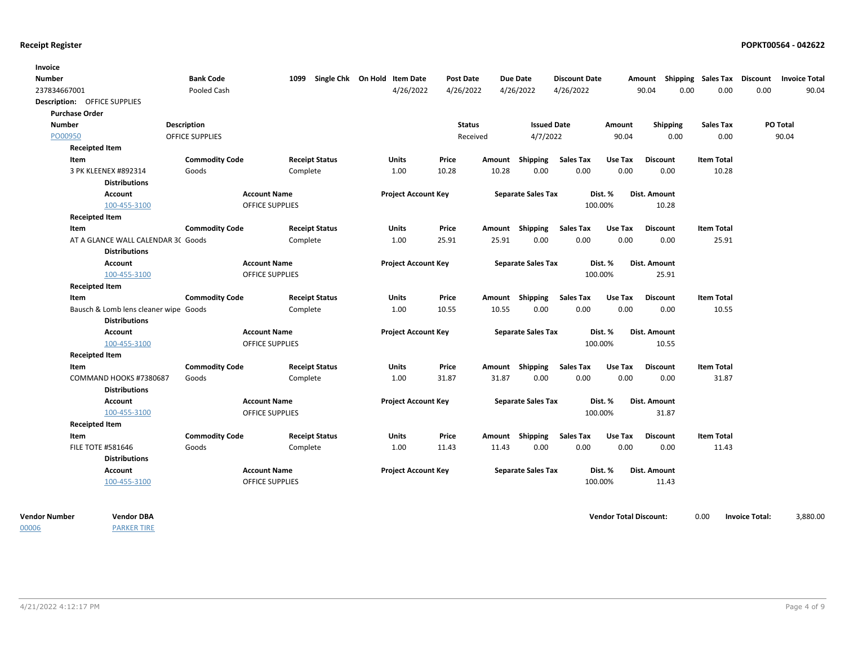| Invoice               |                                       |                        |                        |                              |               |        |                           |                      |         |                 |                             |                      |
|-----------------------|---------------------------------------|------------------------|------------------------|------------------------------|---------------|--------|---------------------------|----------------------|---------|-----------------|-----------------------------|----------------------|
| Number                |                                       | <b>Bank Code</b>       | 1099                   | Single Chk On Hold Item Date | Post Date     |        | Due Date                  | <b>Discount Date</b> |         | Amount          | Shipping Sales Tax Discount | <b>Invoice Total</b> |
| 237834667001          |                                       | Pooled Cash            |                        | 4/26/2022                    | 4/26/2022     |        | 4/26/2022                 | 4/26/2022            |         | 90.04           | 0.00<br>0.00                | 0.00<br>90.04        |
|                       | Description: OFFICE SUPPLIES          |                        |                        |                              |               |        |                           |                      |         |                 |                             |                      |
| <b>Purchase Order</b> |                                       |                        |                        |                              |               |        |                           |                      |         |                 |                             |                      |
| <b>Number</b>         |                                       | <b>Description</b>     |                        |                              | <b>Status</b> |        | <b>Issued Date</b>        |                      | Amount  | Shipping        | <b>Sales Tax</b>            | PO Total             |
| PO00950               |                                       | <b>OFFICE SUPPLIES</b> |                        |                              | Received      |        | 4/7/2022                  |                      | 90.04   | 0.00            | 0.00                        | 90.04                |
|                       | <b>Receipted Item</b>                 |                        |                        |                              |               |        |                           |                      |         |                 |                             |                      |
| Item                  |                                       | <b>Commodity Code</b>  | <b>Receipt Status</b>  | Units                        | Price         | Amount | <b>Shipping</b>           | <b>Sales Tax</b>     | Use Tax | <b>Discount</b> | <b>Item Total</b>           |                      |
|                       | 3 PK KLEENEX #892314                  | Goods                  | Complete               | 1.00                         | 10.28         | 10.28  | 0.00                      | 0.00                 | 0.00    | 0.00            | 10.28                       |                      |
|                       | <b>Distributions</b>                  |                        |                        |                              |               |        |                           |                      |         |                 |                             |                      |
|                       | Account                               |                        | <b>Account Name</b>    | <b>Project Account Key</b>   |               |        | <b>Separate Sales Tax</b> |                      | Dist. % | Dist. Amount    |                             |                      |
|                       | 100-455-3100                          |                        | <b>OFFICE SUPPLIES</b> |                              |               |        |                           |                      | 100.00% | 10.28           |                             |                      |
|                       | <b>Receipted Item</b>                 |                        |                        |                              |               |        |                           |                      |         |                 |                             |                      |
| Item                  |                                       | <b>Commodity Code</b>  | <b>Receipt Status</b>  | Units                        | Price         |        | Amount Shipping           | <b>Sales Tax</b>     | Use Tax | <b>Discount</b> | <b>Item Total</b>           |                      |
|                       | AT A GLANCE WALL CALENDAR 3C Goods    |                        | Complete               | 1.00                         | 25.91         | 25.91  | 0.00                      | 0.00                 | 0.00    | 0.00            | 25.91                       |                      |
|                       | <b>Distributions</b>                  |                        |                        |                              |               |        |                           |                      |         |                 |                             |                      |
|                       | <b>Account</b>                        |                        | <b>Account Name</b>    | <b>Project Account Key</b>   |               |        | <b>Separate Sales Tax</b> |                      | Dist. % | Dist. Amount    |                             |                      |
|                       | 100-455-3100                          |                        | <b>OFFICE SUPPLIES</b> |                              |               |        |                           |                      | 100.00% | 25.91           |                             |                      |
|                       | <b>Receipted Item</b>                 |                        |                        |                              |               |        |                           |                      |         |                 |                             |                      |
| Item                  |                                       | <b>Commodity Code</b>  | <b>Receipt Status</b>  | Units                        | Price         |        | Amount Shipping           | <b>Sales Tax</b>     | Use Tax | <b>Discount</b> | <b>Item Total</b>           |                      |
|                       | Bausch & Lomb lens cleaner wipe Goods |                        | Complete               | 1.00                         | 10.55         | 10.55  | 0.00                      | 0.00                 | 0.00    | 0.00            | 10.55                       |                      |
|                       | <b>Distributions</b>                  |                        |                        |                              |               |        |                           |                      |         |                 |                             |                      |
|                       | <b>Account</b>                        |                        | <b>Account Name</b>    | <b>Project Account Key</b>   |               |        | <b>Separate Sales Tax</b> |                      | Dist. % | Dist. Amount    |                             |                      |
|                       | 100-455-3100                          |                        | OFFICE SUPPLIES        |                              |               |        |                           |                      | 100.00% | 10.55           |                             |                      |
|                       | <b>Receipted Item</b>                 |                        |                        |                              |               |        |                           |                      |         |                 |                             |                      |
| Item                  |                                       | <b>Commodity Code</b>  | <b>Receipt Status</b>  | Units                        | Price         |        | Amount Shipping           | <b>Sales Tax</b>     | Use Tax | <b>Discount</b> | <b>Item Total</b>           |                      |
|                       | COMMAND HOOKS #7380687                | Goods                  | Complete               | 1.00                         | 31.87         | 31.87  | 0.00                      | 0.00                 | 0.00    | 0.00            | 31.87                       |                      |
|                       | <b>Distributions</b>                  |                        |                        |                              |               |        |                           |                      |         |                 |                             |                      |
|                       | <b>Account</b>                        |                        | <b>Account Name</b>    | <b>Project Account Key</b>   |               |        | <b>Separate Sales Tax</b> |                      | Dist. % | Dist. Amount    |                             |                      |
|                       | 100-455-3100                          |                        | <b>OFFICE SUPPLIES</b> |                              |               |        |                           |                      | 100.00% | 31.87           |                             |                      |
|                       | <b>Receipted Item</b>                 |                        |                        |                              |               |        |                           |                      |         |                 |                             |                      |
| Item                  |                                       | <b>Commodity Code</b>  | <b>Receipt Status</b>  | Units                        | Price         |        | Amount Shipping           | <b>Sales Tax</b>     | Use Tax | <b>Discount</b> | <b>Item Total</b>           |                      |
|                       | <b>FILE TOTE #581646</b>              | Goods                  | Complete               | 1.00                         | 11.43         | 11.43  | 0.00                      | 0.00                 | 0.00    | 0.00            | 11.43                       |                      |
|                       | <b>Distributions</b>                  |                        |                        |                              |               |        |                           |                      |         |                 |                             |                      |
|                       | <b>Account</b>                        |                        | <b>Account Name</b>    | <b>Project Account Key</b>   |               |        | <b>Separate Sales Tax</b> |                      | Dist. % | Dist. Amount    |                             |                      |
|                       | 100-455-3100                          |                        | <b>OFFICE SUPPLIES</b> |                              |               |        |                           |                      | 100.00% | 11.43           |                             |                      |

00006

PARKER TIRE

**Vendor Number Vendor Total Discount:** 3,880.00 **Vendor DBA** 0.00 **Invoice Total:**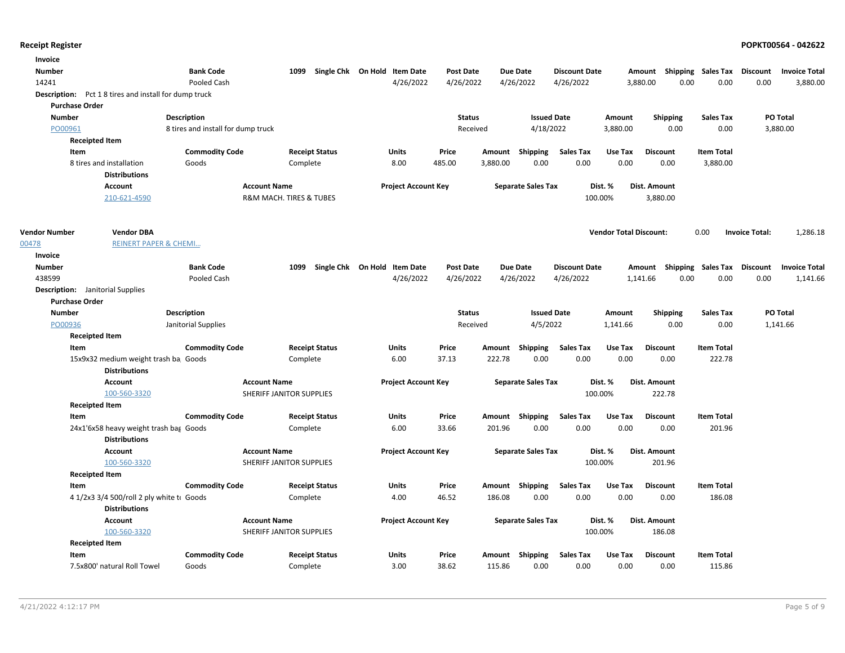| Invoice                                                     |                                    |                                                 |                              |                  |                           |                             |                                    |                   |                                   |
|-------------------------------------------------------------|------------------------------------|-------------------------------------------------|------------------------------|------------------|---------------------------|-----------------------------|------------------------------------|-------------------|-----------------------------------|
| <b>Number</b>                                               | <b>Bank Code</b>                   | 1099                                            | Single Chk On Hold Item Date | <b>Post Date</b> | <b>Due Date</b>           | <b>Discount Date</b>        | Amount Shipping Sales Tax Discount |                   | <b>Invoice Total</b>              |
| 14241                                                       | Pooled Cash                        |                                                 | 4/26/2022                    | 4/26/2022        | 4/26/2022                 | 4/26/2022                   | 3,880.00                           | 0.00<br>0.00      | 0.00<br>3,880.00                  |
| <b>Description:</b> Pct 18 tires and install for dump truck |                                    |                                                 |                              |                  |                           |                             |                                    |                   |                                   |
| <b>Purchase Order</b>                                       |                                    |                                                 |                              |                  |                           |                             |                                    |                   |                                   |
| <b>Number</b>                                               | <b>Description</b>                 |                                                 |                              | <b>Status</b>    | <b>Issued Date</b>        | Amount                      | <b>Shipping</b>                    | <b>Sales Tax</b>  | PO Total                          |
| PO00961                                                     | 8 tires and install for dump truck |                                                 |                              | Received         | 4/18/2022                 | 3,880.00                    | 0.00                               | 0.00              | 3,880.00                          |
| <b>Receipted Item</b>                                       |                                    |                                                 |                              |                  |                           |                             |                                    |                   |                                   |
| Item                                                        | <b>Commodity Code</b>              | <b>Receipt Status</b>                           | <b>Units</b>                 | Price            | Amount Shipping           | <b>Sales Tax</b><br>Use Tax | <b>Discount</b>                    | <b>Item Total</b> |                                   |
| 8 tires and installation                                    | Goods                              | Complete                                        | 8.00                         | 485.00           | 0.00<br>3,880.00          | 0.00                        | 0.00<br>0.00                       | 3,880.00          |                                   |
| <b>Distributions</b>                                        |                                    |                                                 |                              |                  |                           |                             |                                    |                   |                                   |
| Account                                                     |                                    | <b>Account Name</b>                             | <b>Project Account Key</b>   |                  | <b>Separate Sales Tax</b> | Dist. %                     | <b>Dist. Amount</b>                |                   |                                   |
| 210-621-4590                                                |                                    | R&M MACH. TIRES & TUBES                         |                              |                  |                           | 100.00%                     | 3,880.00                           |                   |                                   |
| <b>Vendor Number</b><br><b>Vendor DBA</b>                   |                                    |                                                 |                              |                  |                           |                             | <b>Vendor Total Discount:</b>      | 0.00              | <b>Invoice Total:</b><br>1,286.18 |
| 00478                                                       | <b>REINERT PAPER &amp; CHEMI</b>   |                                                 |                              |                  |                           |                             |                                    |                   |                                   |
| Invoice                                                     |                                    |                                                 |                              |                  |                           |                             |                                    |                   |                                   |
| <b>Number</b>                                               | <b>Bank Code</b>                   | 1099                                            | Single Chk On Hold Item Date | Post Date        | <b>Due Date</b>           | <b>Discount Date</b>        | Amount Shipping Sales Tax Discount |                   | <b>Invoice Total</b>              |
| 438599                                                      | Pooled Cash                        |                                                 | 4/26/2022                    | 4/26/2022        | 4/26/2022                 | 4/26/2022                   | 0.00<br>1,141.66                   | 0.00              | 0.00<br>1,141.66                  |
| <b>Description:</b> Janitorial Supplies                     |                                    |                                                 |                              |                  |                           |                             |                                    |                   |                                   |
| <b>Purchase Order</b>                                       |                                    |                                                 |                              |                  |                           |                             |                                    |                   |                                   |
| <b>Number</b>                                               | <b>Description</b>                 |                                                 |                              | <b>Status</b>    | <b>Issued Date</b>        | Amount                      | <b>Shipping</b>                    | <b>Sales Tax</b>  | PO Total                          |
| PO00936                                                     | Janitorial Supplies                |                                                 |                              | Received         | 4/5/2022                  | 1,141.66                    | 0.00                               | 0.00              | 1,141.66                          |
| <b>Receipted Item</b>                                       |                                    |                                                 |                              |                  |                           |                             |                                    |                   |                                   |
| Item                                                        | <b>Commodity Code</b>              | <b>Receipt Status</b>                           | Units                        | Price            | Amount Shipping           | <b>Sales Tax</b><br>Use Tax | <b>Discount</b>                    | <b>Item Total</b> |                                   |
| 15x9x32 medium weight trash ba Goods                        |                                    | Complete                                        | 6.00                         | 37.13            | 0.00<br>222.78            | 0.00                        | 0.00<br>0.00                       | 222.78            |                                   |
| <b>Distributions</b>                                        |                                    |                                                 |                              |                  |                           |                             |                                    |                   |                                   |
| Account                                                     |                                    | <b>Account Name</b>                             | <b>Project Account Key</b>   |                  | <b>Separate Sales Tax</b> | Dist. %                     | Dist. Amount                       |                   |                                   |
| 100-560-3320                                                |                                    | SHERIFF JANITOR SUPPLIES                        |                              |                  |                           | 100.00%                     | 222.78                             |                   |                                   |
| <b>Receipted Item</b>                                       |                                    |                                                 |                              |                  |                           |                             |                                    |                   |                                   |
| Item                                                        | <b>Commodity Code</b>              | <b>Receipt Status</b>                           | Units                        | Price            | Amount Shipping           | <b>Sales Tax</b><br>Use Tax | <b>Discount</b>                    | <b>Item Total</b> |                                   |
| 24x1'6x58 heavy weight trash bag Goods                      |                                    | Complete                                        | 6.00                         | 33.66            | 201.96<br>0.00            | 0.00                        | 0.00<br>0.00                       | 201.96            |                                   |
| <b>Distributions</b>                                        |                                    |                                                 |                              |                  |                           |                             |                                    |                   |                                   |
| <b>Account</b>                                              |                                    | <b>Account Name</b><br>SHERIFF JANITOR SUPPLIES | <b>Project Account Key</b>   |                  | <b>Separate Sales Tax</b> | Dist. %<br>100.00%          | Dist. Amount<br>201.96             |                   |                                   |
| 100-560-3320<br><b>Receipted Item</b>                       |                                    |                                                 |                              |                  |                           |                             |                                    |                   |                                   |
| Item                                                        | <b>Commodity Code</b>              | <b>Receipt Status</b>                           | Units                        | Price            | Amount Shipping           | <b>Sales Tax</b><br>Use Tax | <b>Discount</b>                    | <b>Item Total</b> |                                   |
| 4 1/2x3 3/4 500/roll 2 ply white to Goods                   |                                    | Complete                                        | 4.00                         | 46.52            | 186.08<br>0.00            | 0.00                        | 0.00<br>0.00                       | 186.08            |                                   |
| <b>Distributions</b>                                        |                                    |                                                 |                              |                  |                           |                             |                                    |                   |                                   |
| <b>Account</b>                                              |                                    | <b>Account Name</b>                             | <b>Project Account Key</b>   |                  | <b>Separate Sales Tax</b> | Dist. %                     | Dist. Amount                       |                   |                                   |
| 100-560-3320                                                |                                    | SHERIFF JANITOR SUPPLIES                        |                              |                  |                           | 100.00%                     | 186.08                             |                   |                                   |
| <b>Receipted Item</b>                                       |                                    |                                                 |                              |                  |                           |                             |                                    |                   |                                   |
| Item                                                        | <b>Commodity Code</b>              | <b>Receipt Status</b>                           | Units                        | Price            | Shipping<br>Amount        | <b>Sales Tax</b><br>Use Tax | <b>Discount</b>                    | <b>Item Total</b> |                                   |
| 7.5x800' natural Roll Towel                                 | Goods                              | Complete                                        | 3.00                         | 38.62            | 0.00<br>115.86            | 0.00                        | 0.00<br>0.00                       | 115.86            |                                   |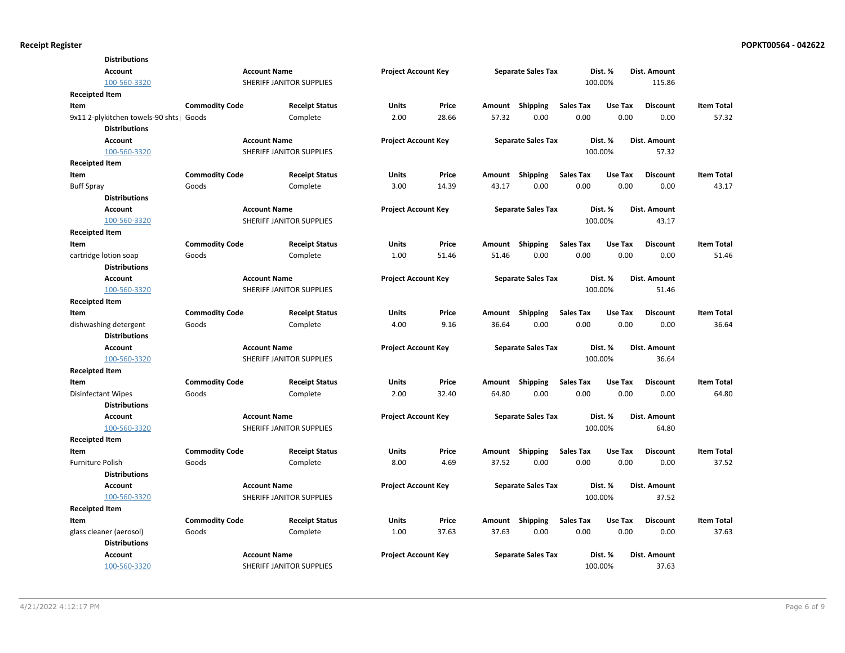| <b>Distributions</b>                     |                       |                          |                            |       |        |                           |                  |         |                 |                   |
|------------------------------------------|-----------------------|--------------------------|----------------------------|-------|--------|---------------------------|------------------|---------|-----------------|-------------------|
| <b>Account</b>                           |                       | <b>Account Name</b>      | <b>Project Account Key</b> |       |        | <b>Separate Sales Tax</b> |                  | Dist. % | Dist. Amount    |                   |
| 100-560-3320                             |                       | SHERIFF JANITOR SUPPLIES |                            |       |        |                           |                  | 100.00% | 115.86          |                   |
| <b>Receipted Item</b>                    |                       |                          |                            |       |        |                           |                  |         |                 |                   |
| Item                                     | <b>Commodity Code</b> | <b>Receipt Status</b>    | <b>Units</b>               | Price | Amount | <b>Shipping</b>           | <b>Sales Tax</b> | Use Tax | <b>Discount</b> | <b>Item Total</b> |
| 9x11 2-plykitchen towels-90 shts   Goods |                       | Complete                 | 2.00                       | 28.66 | 57.32  | 0.00                      | 0.00             | 0.00    | 0.00            | 57.32             |
| <b>Distributions</b>                     |                       |                          |                            |       |        |                           |                  |         |                 |                   |
| <b>Account</b>                           |                       | <b>Account Name</b>      | <b>Project Account Key</b> |       |        | <b>Separate Sales Tax</b> |                  | Dist. % | Dist. Amount    |                   |
| 100-560-3320                             |                       | SHERIFF JANITOR SUPPLIES |                            |       |        |                           |                  | 100.00% | 57.32           |                   |
| <b>Receipted Item</b>                    |                       |                          |                            |       |        |                           |                  |         |                 |                   |
| Item                                     | <b>Commodity Code</b> | <b>Receipt Status</b>    | <b>Units</b>               | Price | Amount | <b>Shipping</b>           | <b>Sales Tax</b> | Use Tax | <b>Discount</b> | <b>Item Total</b> |
| <b>Buff Spray</b>                        | Goods                 | Complete                 | 3.00                       | 14.39 | 43.17  | 0.00                      | 0.00             | 0.00    | 0.00            | 43.17             |
| <b>Distributions</b>                     |                       |                          |                            |       |        |                           |                  |         |                 |                   |
| <b>Account</b>                           |                       | <b>Account Name</b>      | <b>Project Account Key</b> |       |        | <b>Separate Sales Tax</b> |                  | Dist. % | Dist. Amount    |                   |
| 100-560-3320                             |                       | SHERIFF JANITOR SUPPLIES |                            |       |        |                           |                  | 100.00% | 43.17           |                   |
| <b>Receipted Item</b>                    |                       |                          |                            |       |        |                           |                  |         |                 |                   |
| Item                                     | <b>Commodity Code</b> | <b>Receipt Status</b>    | <b>Units</b>               | Price | Amount | <b>Shipping</b>           | <b>Sales Tax</b> | Use Tax | <b>Discount</b> | <b>Item Total</b> |
| cartridge lotion soap                    | Goods                 | Complete                 | 1.00                       | 51.46 | 51.46  | 0.00                      | 0.00             | 0.00    | 0.00            | 51.46             |
| <b>Distributions</b>                     |                       |                          |                            |       |        |                           |                  |         |                 |                   |
| <b>Account</b>                           |                       | <b>Account Name</b>      | <b>Project Account Key</b> |       |        | <b>Separate Sales Tax</b> |                  | Dist. % | Dist. Amount    |                   |
| 100-560-3320                             |                       | SHERIFF JANITOR SUPPLIES |                            |       |        |                           |                  | 100.00% | 51.46           |                   |
| <b>Receipted Item</b>                    |                       |                          |                            |       |        |                           |                  |         |                 |                   |
| Item                                     | <b>Commodity Code</b> | <b>Receipt Status</b>    | <b>Units</b>               | Price | Amount | Shipping                  | <b>Sales Tax</b> | Use Tax | <b>Discount</b> | <b>Item Total</b> |
| dishwashing detergent                    | Goods                 | Complete                 | 4.00                       | 9.16  | 36.64  | 0.00                      | 0.00             | 0.00    | 0.00            | 36.64             |
| <b>Distributions</b>                     |                       |                          |                            |       |        |                           |                  |         |                 |                   |
| <b>Account</b>                           |                       | <b>Account Name</b>      | <b>Project Account Key</b> |       |        | <b>Separate Sales Tax</b> |                  | Dist. % | Dist. Amount    |                   |
| 100-560-3320                             |                       | SHERIFF JANITOR SUPPLIES |                            |       |        |                           |                  | 100.00% | 36.64           |                   |
| Receipted Item                           |                       |                          |                            |       |        |                           |                  |         |                 |                   |
| Item                                     | <b>Commodity Code</b> | <b>Receipt Status</b>    | Units                      | Price | Amount | <b>Shipping</b>           | <b>Sales Tax</b> | Use Tax | <b>Discount</b> | <b>Item Total</b> |
| Disinfectant Wipes                       | Goods                 | Complete                 | 2.00                       | 32.40 | 64.80  | 0.00                      | 0.00             | 0.00    | 0.00            | 64.80             |
| <b>Distributions</b>                     |                       |                          |                            |       |        |                           |                  |         |                 |                   |
| <b>Account</b>                           |                       | <b>Account Name</b>      | <b>Project Account Key</b> |       |        | <b>Separate Sales Tax</b> |                  | Dist. % | Dist. Amount    |                   |
| 100-560-3320                             |                       | SHERIFF JANITOR SUPPLIES |                            |       |        |                           |                  | 100.00% | 64.80           |                   |
| Receipted Item                           |                       |                          |                            |       |        |                           |                  |         |                 |                   |
| Item                                     | <b>Commodity Code</b> | <b>Receipt Status</b>    | <b>Units</b>               | Price |        | Amount Shipping           | <b>Sales Tax</b> | Use Tax | <b>Discount</b> | <b>Item Total</b> |
| <b>Furniture Polish</b>                  | Goods                 | Complete                 | 8.00                       | 4.69  | 37.52  | 0.00                      | 0.00             | 0.00    | 0.00            | 37.52             |
| <b>Distributions</b>                     |                       |                          |                            |       |        |                           |                  |         |                 |                   |
| <b>Account</b>                           |                       | <b>Account Name</b>      | <b>Project Account Key</b> |       |        | <b>Separate Sales Tax</b> |                  | Dist. % | Dist. Amount    |                   |
| 100-560-3320                             |                       | SHERIFF JANITOR SUPPLIES |                            |       |        |                           |                  | 100.00% | 37.52           |                   |
| <b>Receipted Item</b>                    |                       |                          |                            |       |        |                           |                  |         |                 |                   |
| Item                                     | <b>Commodity Code</b> | <b>Receipt Status</b>    | <b>Units</b>               | Price |        | Amount Shipping           | <b>Sales Tax</b> | Use Tax | <b>Discount</b> | <b>Item Total</b> |
| glass cleaner (aerosol)                  | Goods                 | Complete                 | 1.00                       | 37.63 | 37.63  | 0.00                      | 0.00             | 0.00    | 0.00            | 37.63             |
| <b>Distributions</b>                     |                       |                          |                            |       |        |                           |                  |         |                 |                   |
| <b>Account</b>                           |                       | <b>Account Name</b>      | <b>Project Account Key</b> |       |        | <b>Separate Sales Tax</b> |                  | Dist. % | Dist. Amount    |                   |
| 100-560-3320                             |                       | SHERIFF JANITOR SUPPLIES |                            |       |        |                           |                  | 100.00% | 37.63           |                   |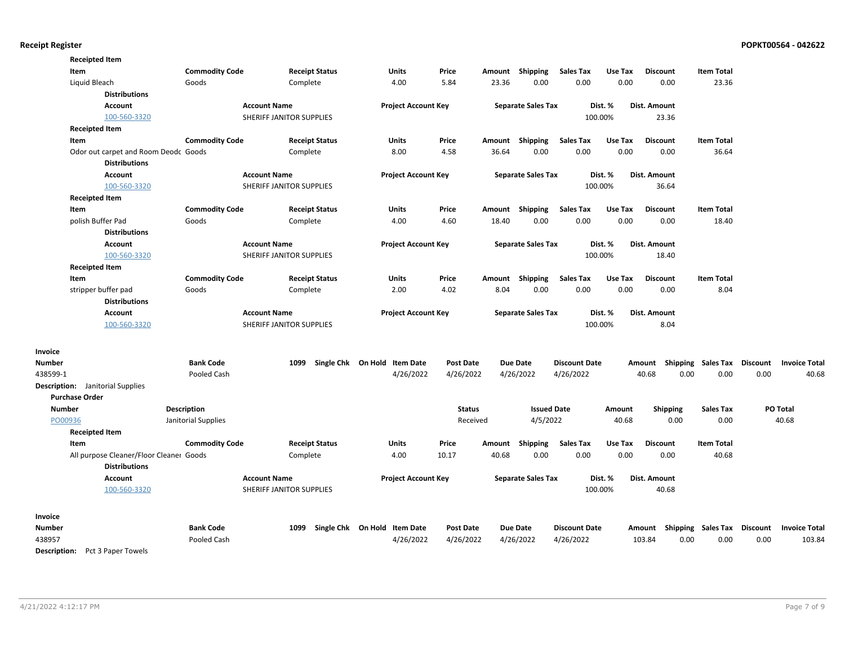|                                         | <b>Receipted Item</b>                   |                       |                          |                              |                  |        |                           |                      |         |                 |                                    |          |                      |
|-----------------------------------------|-----------------------------------------|-----------------------|--------------------------|------------------------------|------------------|--------|---------------------------|----------------------|---------|-----------------|------------------------------------|----------|----------------------|
| Item                                    |                                         | <b>Commodity Code</b> | <b>Receipt Status</b>    | Units                        | Price            | Amount | <b>Shipping</b>           | <b>Sales Tax</b>     | Use Tax | <b>Discount</b> | <b>Item Total</b>                  |          |                      |
| Liquid Bleach                           |                                         | Goods                 | Complete                 | 4.00                         | 5.84             | 23.36  | 0.00                      | 0.00                 | 0.00    | 0.00            | 23.36                              |          |                      |
|                                         | <b>Distributions</b>                    |                       |                          |                              |                  |        |                           |                      |         |                 |                                    |          |                      |
|                                         | <b>Account</b>                          |                       | <b>Account Name</b>      | <b>Project Account Key</b>   |                  |        | <b>Separate Sales Tax</b> |                      | Dist. % | Dist. Amount    |                                    |          |                      |
|                                         | 100-560-3320                            |                       | SHERIFF JANITOR SUPPLIES |                              |                  |        |                           |                      | 100.00% | 23.36           |                                    |          |                      |
|                                         | <b>Receipted Item</b>                   |                       |                          |                              |                  |        |                           |                      |         |                 |                                    |          |                      |
| Item                                    |                                         | <b>Commodity Code</b> | <b>Receipt Status</b>    | Units                        | Price            | Amount | Shipping                  | <b>Sales Tax</b>     | Use Tax | <b>Discount</b> | <b>Item Total</b>                  |          |                      |
|                                         | Odor out carpet and Room Deodc Goods    |                       | Complete                 | 8.00                         | 4.58             | 36.64  | 0.00                      | 0.00                 | 0.00    | 0.00            | 36.64                              |          |                      |
|                                         | <b>Distributions</b>                    |                       |                          |                              |                  |        |                           |                      |         |                 |                                    |          |                      |
|                                         | Account                                 |                       | <b>Account Name</b>      | <b>Project Account Key</b>   |                  |        | <b>Separate Sales Tax</b> |                      | Dist. % | Dist. Amount    |                                    |          |                      |
|                                         | 100-560-3320                            |                       | SHERIFF JANITOR SUPPLIES |                              |                  |        |                           |                      | 100.00% | 36.64           |                                    |          |                      |
|                                         | <b>Receipted Item</b>                   |                       |                          |                              |                  |        |                           |                      |         |                 |                                    |          |                      |
| Item                                    |                                         | <b>Commodity Code</b> | <b>Receipt Status</b>    | <b>Units</b>                 | Price            | Amount | Shipping                  | <b>Sales Tax</b>     | Use Tax | <b>Discount</b> | <b>Item Total</b>                  |          |                      |
|                                         | polish Buffer Pad                       | Goods                 | Complete                 | 4.00                         | 4.60             | 18.40  | 0.00                      | 0.00                 | 0.00    | 0.00            | 18.40                              |          |                      |
|                                         | <b>Distributions</b>                    |                       |                          |                              |                  |        |                           |                      |         |                 |                                    |          |                      |
|                                         | Account                                 |                       | <b>Account Name</b>      | <b>Project Account Key</b>   |                  |        | <b>Separate Sales Tax</b> |                      | Dist. % | Dist. Amount    |                                    |          |                      |
|                                         | 100-560-3320                            |                       | SHERIFF JANITOR SUPPLIES |                              |                  |        |                           |                      | 100.00% | 18.40           |                                    |          |                      |
|                                         | <b>Receipted Item</b>                   |                       |                          |                              |                  |        |                           |                      |         |                 |                                    |          |                      |
| Item                                    |                                         | <b>Commodity Code</b> | <b>Receipt Status</b>    | <b>Units</b>                 | Price            | Amount | Shipping                  | <b>Sales Tax</b>     | Use Tax | <b>Discount</b> | <b>Item Total</b>                  |          |                      |
|                                         | stripper buffer pad                     | Goods                 | Complete                 | 2.00                         | 4.02             | 8.04   | 0.00                      | 0.00                 | 0.00    | 0.00            | 8.04                               |          |                      |
|                                         | <b>Distributions</b>                    |                       |                          |                              |                  |        |                           |                      |         |                 |                                    |          |                      |
|                                         | Account                                 |                       | <b>Account Name</b>      | <b>Project Account Key</b>   |                  |        | <b>Separate Sales Tax</b> |                      | Dist. % | Dist. Amount    |                                    |          |                      |
|                                         | 100-560-3320                            |                       | SHERIFF JANITOR SUPPLIES |                              |                  |        |                           |                      | 100.00% | 8.04            |                                    |          |                      |
|                                         |                                         |                       |                          |                              |                  |        |                           |                      |         |                 |                                    |          |                      |
| Invoice                                 |                                         |                       |                          |                              |                  |        |                           |                      |         |                 |                                    |          |                      |
| <b>Number</b>                           |                                         | <b>Bank Code</b>      | 1099                     | Single Chk On Hold Item Date | <b>Post Date</b> |        | <b>Due Date</b>           | <b>Discount Date</b> |         |                 | Amount Shipping Sales Tax Discount |          | <b>Invoice Total</b> |
| 438599-1                                |                                         | Pooled Cash           |                          | 4/26/2022                    | 4/26/2022        |        | 4/26/2022                 | 4/26/2022            |         | 40.68           | 0.00<br>0.00                       | 0.00     | 40.68                |
| <b>Description:</b> Janitorial Supplies |                                         |                       |                          |                              |                  |        |                           |                      |         |                 |                                    |          |                      |
| <b>Purchase Order</b>                   |                                         |                       |                          |                              |                  |        |                           |                      |         |                 |                                    |          |                      |
| <b>Number</b>                           |                                         | <b>Description</b>    |                          |                              | <b>Status</b>    |        | <b>Issued Date</b>        |                      | Amount  | <b>Shipping</b> | <b>Sales Tax</b>                   |          | PO Total             |
| PO00936                                 |                                         | Janitorial Supplies   |                          |                              | Received         |        | 4/5/2022                  |                      | 40.68   | 0.00            | 0.00                               |          | 40.68                |
|                                         | <b>Receipted Item</b>                   |                       |                          |                              |                  |        |                           |                      |         |                 |                                    |          |                      |
| Item                                    |                                         | <b>Commodity Code</b> | <b>Receipt Status</b>    | Units                        | Price            | Amount | Shipping                  | <b>Sales Tax</b>     | Use Tax | <b>Discount</b> | <b>Item Total</b>                  |          |                      |
|                                         | All purpose Cleaner/Floor Cleaner Goods |                       | Complete                 | 4.00                         | 10.17            | 40.68  | 0.00                      | 0.00                 | 0.00    | 0.00            | 40.68                              |          |                      |
|                                         | <b>Distributions</b>                    |                       |                          |                              |                  |        |                           |                      |         |                 |                                    |          |                      |
|                                         | Account                                 |                       | <b>Account Name</b>      | <b>Project Account Key</b>   |                  |        | <b>Separate Sales Tax</b> |                      | Dist. % | Dist. Amount    |                                    |          |                      |
|                                         | 100-560-3320                            |                       | SHERIFF JANITOR SUPPLIES |                              |                  |        |                           |                      | 100.00% | 40.68           |                                    |          |                      |
|                                         |                                         |                       |                          |                              |                  |        |                           |                      |         |                 |                                    |          |                      |
| Invoice                                 |                                         |                       |                          |                              |                  |        |                           |                      |         |                 |                                    |          |                      |
| Number                                  |                                         | <b>Bank Code</b>      | 1099                     | Single Chk On Hold Item Date | <b>Post Date</b> |        | <b>Due Date</b>           | <b>Discount Date</b> |         |                 | Amount Shipping Sales Tax          | Discount | <b>Invoice Total</b> |
| 438957                                  |                                         | Pooled Cash           |                          | 4/26/2022                    | 4/26/2022        |        | 4/26/2022                 | 4/26/2022            |         | 103.84          | 0.00<br>0.00                       | 0.00     | 103.84               |
|                                         |                                         |                       |                          |                              |                  |        |                           |                      |         |                 |                                    |          |                      |

Description: Pct 3 Paper Towels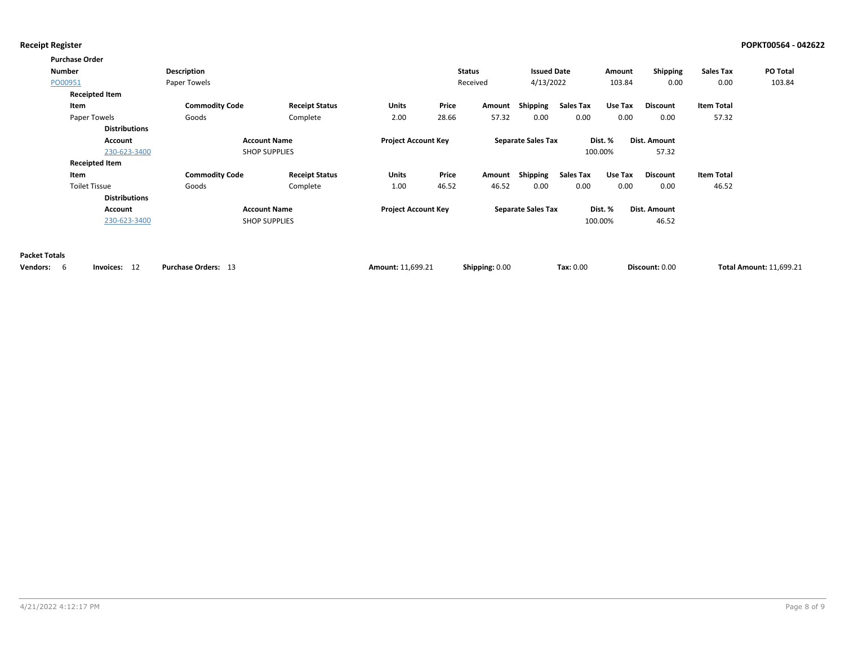|                      | <b>Purchase Order</b> |                       |                       |                            |       |                |                           |           |         |                 |                   |                                |
|----------------------|-----------------------|-----------------------|-----------------------|----------------------------|-------|----------------|---------------------------|-----------|---------|-----------------|-------------------|--------------------------------|
|                      | <b>Number</b>         | Description           |                       |                            |       | <b>Status</b>  | <b>Issued Date</b>        |           | Amount  | Shipping        | <b>Sales Tax</b>  | <b>PO Total</b>                |
|                      | PO00951               | Paper Towels          |                       |                            |       | Received       | 4/13/2022                 |           | 103.84  | 0.00            | 0.00              | 103.84                         |
|                      | <b>Receipted Item</b> |                       |                       |                            |       |                |                           |           |         |                 |                   |                                |
|                      | Item                  | <b>Commodity Code</b> | <b>Receipt Status</b> | <b>Units</b>               | Price | Amount         | Shipping                  | Sales Tax | Use Tax | <b>Discount</b> | <b>Item Total</b> |                                |
|                      | Paper Towels          | Goods                 | Complete              | 2.00                       | 28.66 | 57.32          | 0.00                      | 0.00      | 0.00    | 0.00            | 57.32             |                                |
|                      | <b>Distributions</b>  |                       |                       |                            |       |                |                           |           |         |                 |                   |                                |
|                      | Account               |                       | <b>Account Name</b>   | <b>Project Account Key</b> |       |                | <b>Separate Sales Tax</b> |           | Dist. % | Dist. Amount    |                   |                                |
|                      | 230-623-3400          |                       | <b>SHOP SUPPLIES</b>  |                            |       |                |                           |           | 100.00% | 57.32           |                   |                                |
|                      | <b>Receipted Item</b> |                       |                       |                            |       |                |                           |           |         |                 |                   |                                |
|                      | Item                  | <b>Commodity Code</b> | <b>Receipt Status</b> | <b>Units</b>               | Price | Amount         | Shipping                  | Sales Tax | Use Tax | <b>Discount</b> | <b>Item Total</b> |                                |
|                      | <b>Toilet Tissue</b>  | Goods                 | Complete              | 1.00                       | 46.52 | 46.52          | 0.00                      | 0.00      | 0.00    | 0.00            | 46.52             |                                |
|                      | <b>Distributions</b>  |                       |                       |                            |       |                |                           |           |         |                 |                   |                                |
|                      | Account               |                       | <b>Account Name</b>   | <b>Project Account Key</b> |       |                | <b>Separate Sales Tax</b> |           | Dist. % | Dist. Amount    |                   |                                |
|                      | 230-623-3400          |                       | <b>SHOP SUPPLIES</b>  |                            |       |                |                           |           | 100.00% | 46.52           |                   |                                |
|                      |                       |                       |                       |                            |       |                |                           |           |         |                 |                   |                                |
| <b>Packet Totals</b> |                       |                       |                       |                            |       |                |                           |           |         |                 |                   |                                |
| Vendors: 6           | Invoices: 12          | Purchase Orders: 13   |                       | Amount: 11,699.21          |       | Shipping: 0.00 |                           | Tax: 0.00 |         | Discount: 0.00  |                   | <b>Total Amount: 11,699.21</b> |